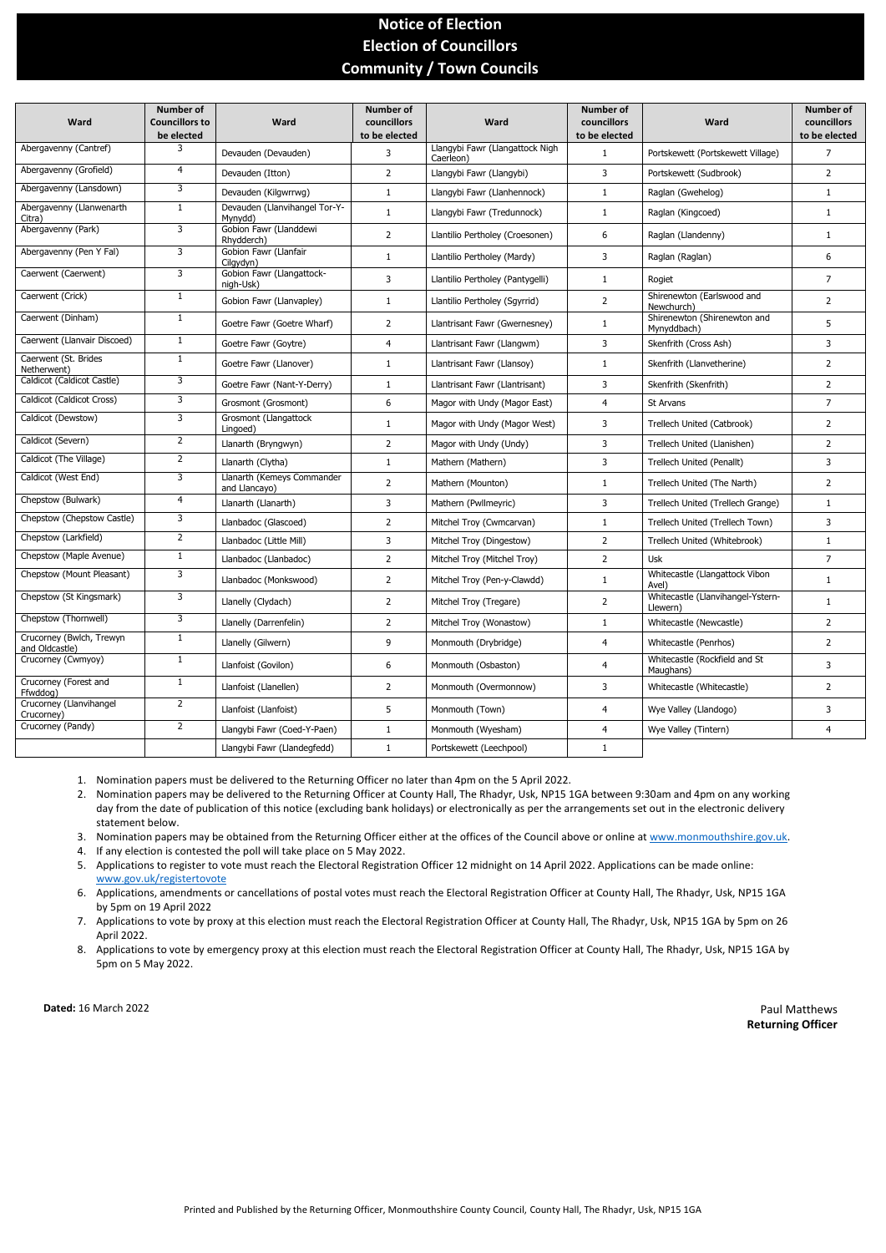Printed and Published by the Returning Officer, Monmouthshire County Council, County Hall, The Rhadyr, Usk, NP15 1GA

## **Notice of Election Election of Councillors Community / Town Councils**

| Ward                                       | <b>Number of</b><br><b>Councillors to</b><br>be elected | Ward                                        | <b>Number of</b><br>councillors<br>to be elected | Ward                                         | <b>Number of</b><br>councillors<br>to be elected | Ward                                          | <b>Number of</b><br>councillors<br>to be elected |
|--------------------------------------------|---------------------------------------------------------|---------------------------------------------|--------------------------------------------------|----------------------------------------------|--------------------------------------------------|-----------------------------------------------|--------------------------------------------------|
| Abergavenny (Cantref)                      | 3                                                       | Devauden (Devauden)                         | 3                                                | Llangybi Fawr (Llangattock Nigh<br>Caerleon) | $\mathbf{1}$                                     | Portskewett (Portskewett Village)             | 7                                                |
| Abergavenny (Grofield)                     | 4                                                       | Devauden (Itton)                            | $\overline{2}$                                   | Llangybi Fawr (Llangybi)                     | 3                                                | Portskewett (Sudbrook)                        | $\overline{2}$                                   |
| Abergavenny (Lansdown)                     | 3                                                       | Devauden (Kilgwrrwg)                        | $\mathbf{1}$                                     | Llangybi Fawr (Llanhennock)                  | $\mathbf{1}$                                     | Raglan (Gwehelog)                             | $\mathbf{1}$                                     |
| Abergavenny (Llanwenarth<br>Citra)         | $\mathbf{1}$                                            | Devauden (Llanvihangel Tor-Y-<br>Mynydd)    | $\mathbf{1}$                                     | Llangybi Fawr (Tredunnock)                   | $\mathbf{1}$                                     | Raglan (Kingcoed)                             | $\mathbf{1}$                                     |
| Abergavenny (Park)                         | 3                                                       | Gobion Fawr (Llanddewi<br>Rhydderch)        | $\overline{2}$                                   | Llantilio Pertholey (Croesonen)              | 6                                                | Raglan (Llandenny)                            | $\mathbf{1}$                                     |
| Abergavenny (Pen Y Fal)                    | 3                                                       | Gobion Fawr (Llanfair<br>Cilgydyn)          | $\mathbf{1}$                                     | Llantilio Pertholey (Mardy)                  | 3                                                | Raglan (Raglan)                               | 6                                                |
| Caerwent (Caerwent)                        | 3                                                       | Gobion Fawr (Llangattock-<br>nigh-Usk)      | 3                                                | Llantilio Pertholey (Pantygelli)             | $\mathbf{1}$                                     | Rogiet                                        | $\overline{7}$                                   |
| Caerwent (Crick)                           | $\mathbf{1}$                                            | Gobion Fawr (Llanvapley)                    | $\mathbf{1}$                                     | Llantilio Pertholey (Sgyrrid)                | $\mathbf{2}$                                     | Shirenewton (Earlswood and<br>Newchurch)      | $\overline{2}$                                   |
| Caerwent (Dinham)                          | $\mathbf{1}$                                            | Goetre Fawr (Goetre Wharf)                  | $\overline{2}$                                   | Llantrisant Fawr (Gwernesney)                | $\mathbf{1}$                                     | Shirenewton (Shirenewton and<br>Mynyddbach)   | 5                                                |
| Caerwent (Llanvair Discoed)                | $\mathbf{1}$                                            | Goetre Fawr (Goytre)                        | $\overline{4}$                                   | Llantrisant Fawr (Llangwm)                   | 3                                                | Skenfrith (Cross Ash)                         | 3                                                |
| Caerwent (St. Brides<br>Netherwent)        | $\mathbf{1}$                                            | Goetre Fawr (Llanover)                      | $\mathbf{1}$                                     | Llantrisant Fawr (Llansoy)                   | $\mathbf{1}$                                     | Skenfrith (Llanvetherine)                     | $\overline{2}$                                   |
| Caldicot (Caldicot Castle)                 | 3                                                       | Goetre Fawr (Nant-Y-Derry)                  | $\mathbf{1}$                                     | Llantrisant Fawr (Llantrisant)               | 3                                                | Skenfrith (Skenfrith)                         | $\overline{2}$                                   |
| Caldicot (Caldicot Cross)                  | 3                                                       | Grosmont (Grosmont)                         | 6                                                | Magor with Undy (Magor East)                 | 4                                                | St Arvans                                     | $\overline{7}$                                   |
| Caldicot (Dewstow)                         | 3                                                       | Grosmont (Llangattock<br>Lingoed)           | $\mathbf{1}$                                     | Magor with Undy (Magor West)                 | 3                                                | Trellech United (Catbrook)                    | 2                                                |
| Caldicot (Severn)                          | $\overline{2}$                                          | Llanarth (Bryngwyn)                         | $\mathbf{2}$                                     | Magor with Undy (Undy)                       | 3                                                | Trellech United (Llanishen)                   | 2                                                |
| Caldicot (The Village)                     | $\overline{2}$                                          | Llanarth (Clytha)                           | $\mathbf{1}$                                     | Mathern (Mathern)                            | 3                                                | Trellech United (Penallt)                     | 3                                                |
| Caldicot (West End)                        | 3                                                       | Llanarth (Kemeys Commander<br>and Llancayo) | 2                                                | Mathern (Mounton)                            | 1                                                | Trellech United (The Narth)                   | 2                                                |
| Chepstow (Bulwark)                         | 4                                                       | Llanarth (Llanarth)                         | 3                                                | Mathern (Pwllmeyric)                         | 3                                                | Trellech United (Trellech Grange)             | $\mathbf{1}$                                     |
| Chepstow (Chepstow Castle)                 | $\overline{\mathbf{3}}$                                 | Llanbadoc (Glascoed)                        | $\overline{2}$                                   | Mitchel Troy (Cwmcarvan)                     | $\mathbf{1}$                                     | Trellech United (Trellech Town)               | 3                                                |
| Chepstow (Larkfield)                       | $\overline{2}$                                          | Llanbadoc (Little Mill)                     | 3                                                | Mitchel Troy (Dingestow)                     | $\overline{2}$                                   | Trellech United (Whitebrook)                  | $\mathbf{1}$                                     |
| Chepstow (Maple Avenue)                    | 1                                                       | Llanbadoc (Llanbadoc)                       | $\overline{2}$                                   | Mitchel Troy (Mitchel Troy)                  | 2                                                | Usk                                           | 7                                                |
| Chepstow (Mount Pleasant)                  | 3                                                       | Llanbadoc (Monkswood)                       | $\overline{2}$                                   | Mitchel Troy (Pen-y-Clawdd)                  | $\mathbf{1}$                                     | Whitecastle (Llangattock Vibon<br>Avel)       | $\mathbf{1}$                                     |
| Chepstow (St Kingsmark)                    | 3                                                       | Llanelly (Clydach)                          | $\overline{2}$                                   | Mitchel Troy (Tregare)                       | $\overline{2}$                                   | Whitecastle (Llanvihangel-Ystern-<br>Llewern) | $\mathbf{1}$                                     |
| Chepstow (Thornwell)                       | $\mathbf{3}$                                            | Llanelly (Darrenfelin)                      | $\overline{2}$                                   | Mitchel Troy (Wonastow)                      | $\mathbf{1}$                                     | Whitecastle (Newcastle)                       | $\overline{2}$                                   |
| Crucorney (Bwlch, Trewyn<br>and Oldcastle) | $\mathbf{1}$                                            | Llanelly (Gilwern)                          | 9                                                | Monmouth (Drybridge)                         | 4                                                | Whitecastle (Penrhos)                         | $\overline{2}$                                   |
| Crucorney (Cwmyoy)                         | $\mathbf{1}$                                            | Llanfoist (Govilon)                         | 6                                                | Monmouth (Osbaston)                          | 4                                                | Whitecastle (Rockfield and St<br>Maughans)    | 3                                                |
| Crucorney (Forest and<br>Ffwddog)          | $\mathbf{1}$                                            | Llanfoist (Llanellen)                       | $2^{\circ}$                                      | Monmouth (Overmonnow)                        | 3                                                | Whitecastle (Whitecastle)                     | $\overline{2}$                                   |
| Crucorney (Llanvihangel<br>Crucorney)      | $\overline{2}$                                          | Llanfoist (Llanfoist)                       | 5                                                | Monmouth (Town)                              | 4                                                | Wye Valley (Llandogo)                         | 3                                                |
| Crucorney (Pandy)                          | $\overline{2}$                                          | Llangybi Fawr (Coed-Y-Paen)                 | $\mathbf{1}$                                     | Monmouth (Wyesham)                           | $\overline{4}$                                   | Wye Valley (Tintern)                          | 4                                                |
|                                            |                                                         | Llangybi Fawr (Llandegfedd)                 | $\mathbf{1}$                                     | Portskewett (Leechpool)                      | $\mathbf{1}$                                     |                                               |                                                  |

**Dated:** 16 March 2022 **Paul Matthews Returning Officer**

1. Nomination papers must be delivered to the Returning Officer no later than 4pm on the 5 April 2022.

- 2. Nomination papers may be delivered to the Returning Officer at County Hall, The Rhadyr, Usk, NP15 1GA between 9:30am and 4pm on any working day from the date of publication of this notice (excluding bank holidays) or electronically as per the arrangements set out in the electronic delivery statement below.
- 3. Nomination papers may be obtained from the Returning Officer either at the offices of the Council above or online at [www.monmouthshire.gov.uk.](http://www.monmouthshire.gov.uk/)
- 4. If any election is contested the poll will take place on 5 May 2022.
- 5. Applications to register to vote must reach the Electoral Registration Officer 12 midnight on 14 April 2022. Applications can be made online: [www.gov.uk/registertovote](http://www.gov.uk/registertovote)
- 6. Applications, amendments or cancellations of postal votes must reach the Electoral Registration Officer at County Hall, The Rhadyr, Usk, NP15 1GA by 5pm on 19 April 2022
- 7. Applications to vote by proxy at this election must reach the Electoral Registration Officer at County Hall, The Rhadyr, Usk, NP15 1GA by 5pm on 26 April 2022.
- 8. Applications to vote by emergency proxy at this election must reach the Electoral Registration Officer at County Hall, The Rhadyr, Usk, NP15 1GA by 5pm on 5 May 2022.